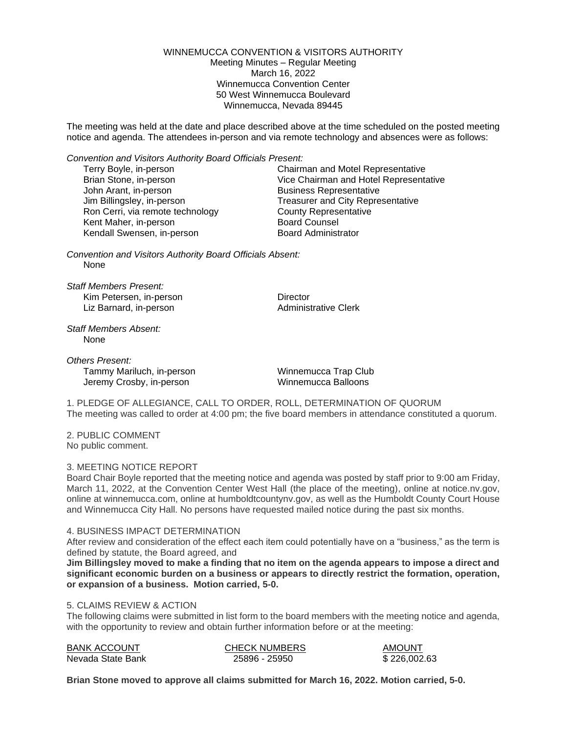WINNEMUCCA CONVENTION & VISITORS AUTHORITY Meeting Minutes – Regular Meeting March 16, 2022 Winnemucca Convention Center 50 West Winnemucca Boulevard Winnemucca, Nevada 89445

The meeting was held at the date and place described above at the time scheduled on the posted meeting notice and agenda. The attendees in-person and via remote technology and absences were as follows:

*Convention and Visitors Authority Board Officials Present:*

| Terry Boyle, in-person           | Chairman and Motel Representative        |
|----------------------------------|------------------------------------------|
| Brian Stone, in-person           | Vice Chairman and Hotel Representative   |
| John Arant, in-person            | <b>Business Representative</b>           |
| Jim Billingsley, in-person       | <b>Treasurer and City Representative</b> |
| Ron Cerri, via remote technology | <b>County Representative</b>             |
| Kent Maher, in-person            | <b>Board Counsel</b>                     |
| Kendall Swensen, in-person       | <b>Board Administrator</b>               |
|                                  |                                          |

*Convention and Visitors Authority Board Officials Absent:* None

*Staff Members Present:* Kim Petersen, in-person **Director** Liz Barnard, in-person **Administrative Clerk** Administrative Clerk

*Staff Members Absent:* None

*Others Present:* Tammy Mariluch, in-person Tammy Mariluch, in-person Winnemucca Trap Club<br>
Jeremy Crosby, in-person Winnemucca Balloons Jeremy Crosby, in-person

1. PLEDGE OF ALLEGIANCE, CALL TO ORDER, ROLL, DETERMINATION OF QUORUM The meeting was called to order at 4:00 pm; the five board members in attendance constituted a quorum.

2. PUBLIC COMMENT No public comment.

# 3. MEETING NOTICE REPORT

Board Chair Boyle reported that the meeting notice and agenda was posted by staff prior to 9:00 am Friday, March 11, 2022, at the Convention Center West Hall (the place of the meeting), online at notice.nv.gov, online at winnemucca.com, online at humboldtcountynv.gov, as well as the Humboldt County Court House and Winnemucca City Hall. No persons have requested mailed notice during the past six months.

#### 4. BUSINESS IMPACT DETERMINATION

After review and consideration of the effect each item could potentially have on a "business," as the term is defined by statute, the Board agreed, and

**Jim Billingsley moved to make a finding that no item on the agenda appears to impose a direct and significant economic burden on a business or appears to directly restrict the formation, operation, or expansion of a business. Motion carried, 5-0.**

# 5. CLAIMS REVIEW & ACTION

The following claims were submitted in list form to the board members with the meeting notice and agenda, with the opportunity to review and obtain further information before or at the meeting:

| <b>BANK ACCOUNT</b> | <b>CHECK NUMBERS</b> | AMOUNT       |
|---------------------|----------------------|--------------|
| Nevada State Bank   | 25896 - 25950        | \$226,002.63 |

**Brian Stone moved to approve all claims submitted for March 16, 2022. Motion carried, 5-0.**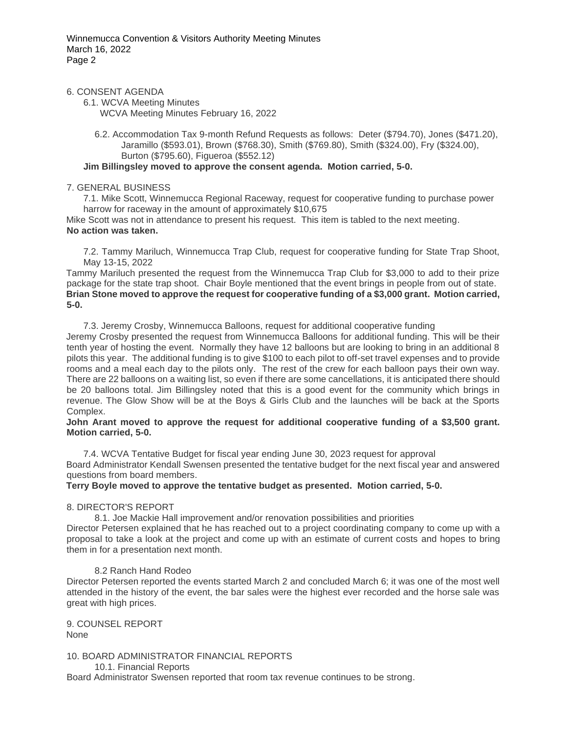### 6. CONSENT AGENDA

6.1. WCVA Meeting Minutes

WCVA Meeting Minutes February 16, 2022

6.2. Accommodation Tax 9-month Refund Requests as follows: Deter (\$794.70), Jones (\$471.20), Jaramillo (\$593.01), Brown (\$768.30), Smith (\$769.80), Smith (\$324.00), Fry (\$324.00), Burton (\$795.60), Figueroa (\$552.12)

# **Jim Billingsley moved to approve the consent agenda. Motion carried, 5-0.**

#### 7. GENERAL BUSINESS

7.1. Mike Scott, Winnemucca Regional Raceway, request for cooperative funding to purchase power harrow for raceway in the amount of approximately \$10,675

Mike Scott was not in attendance to present his request. This item is tabled to the next meeting. **No action was taken.**

7.2. Tammy Mariluch, Winnemucca Trap Club, request for cooperative funding for State Trap Shoot, May 13-15, 2022

Tammy Mariluch presented the request from the Winnemucca Trap Club for \$3,000 to add to their prize package for the state trap shoot. Chair Boyle mentioned that the event brings in people from out of state. **Brian Stone moved to approve the request for cooperative funding of a \$3,000 grant. Motion carried, 5-0.**

7.3. Jeremy Crosby, Winnemucca Balloons, request for additional cooperative funding

Jeremy Crosby presented the request from Winnemucca Balloons for additional funding. This will be their tenth year of hosting the event. Normally they have 12 balloons but are looking to bring in an additional 8 pilots this year. The additional funding is to give \$100 to each pilot to off-set travel expenses and to provide rooms and a meal each day to the pilots only. The rest of the crew for each balloon pays their own way. There are 22 balloons on a waiting list, so even if there are some cancellations, it is anticipated there should be 20 balloons total. Jim Billingsley noted that this is a good event for the community which brings in revenue. The Glow Show will be at the Boys & Girls Club and the launches will be back at the Sports Complex.

#### **John Arant moved to approve the request for additional cooperative funding of a \$3,500 grant. Motion carried, 5-0.**

7.4. WCVA Tentative Budget for fiscal year ending June 30, 2023 request for approval Board Administrator Kendall Swensen presented the tentative budget for the next fiscal year and answered questions from board members.

**Terry Boyle moved to approve the tentative budget as presented. Motion carried, 5-0.**

# 8. DIRECTOR'S REPORT

8.1. Joe Mackie Hall improvement and/or renovation possibilities and priorities

Director Petersen explained that he has reached out to a project coordinating company to come up with a proposal to take a look at the project and come up with an estimate of current costs and hopes to bring them in for a presentation next month.

# 8.2 Ranch Hand Rodeo

Director Petersen reported the events started March 2 and concluded March 6; it was one of the most well attended in the history of the event, the bar sales were the highest ever recorded and the horse sale was great with high prices.

9. COUNSEL REPORT None

10. BOARD ADMINISTRATOR FINANCIAL REPORTS 10.1. Financial Reports

Board Administrator Swensen reported that room tax revenue continues to be strong.